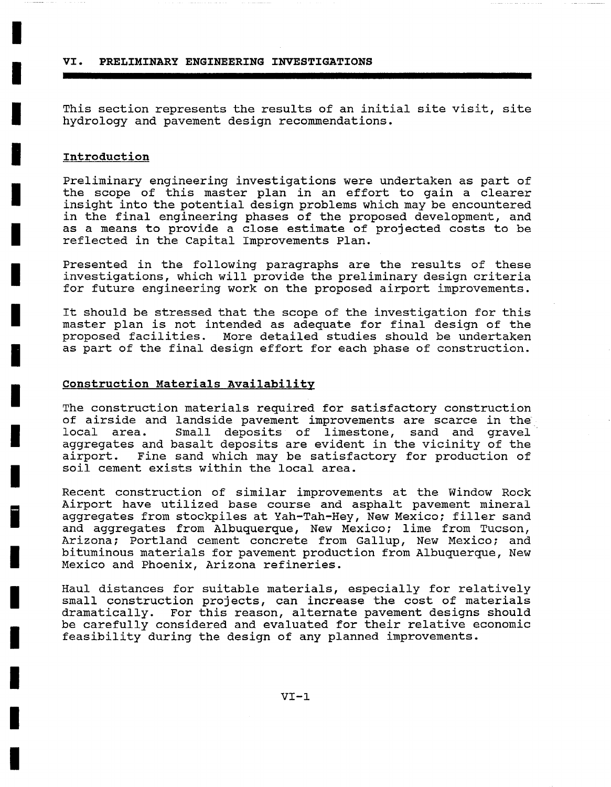**VI. PRELIMINARY ENGINEERING INVESTIGATIONS** 

This section represents the results of an initial site visit, site hydrology and pavement design recommendations.

## **Introduction**

**I** 

**I** 

**I** 

**I** 

**I** 

**I** 

**I** 

**I** 

**i** 

**I** 

**I** 

**I** 

**i** 

**I** 

**I** 

**I** 

**I** 

**!** 

**i** 

Preliminary engineering investigations were undertaken as part of the scope of this master plan in an effort to gain a clearer insight into the potential design problems which may be encountered in the final engineering phases of the proposed development, and as a means to provide a close estimate of projected costs to be reflected in the Capital Improvements Plan.

Presented in the following paragraphs are the results of these investigations, which will provide the preliminary design criteria for future engineering work on the proposed airport improvements.

It should be stressed that the scope of the investigation for this master plan is not intended as adequate for final design of the proposed facilities. More detailed studies should be undertaken as part of the final design effort for each phase of construction.

## **Construction Materials Availability**

The construction materials required for satisfactory construction of airside and landside pavement improvements are scarce in the local area. Small deposits of limestone, sand and gravel aggregates and basalt deposits are evident in the vicinity of the airport. Fine sand which may be satisfactory for production of soil cement exists within the local area.

Recent construction of similar improvements at the Window Rock Airport have utilized base course and asphalt pavement mineral aggregates from stockpiles at Yah-Tah-Hey, New Mexico; filler sand and aggregates from Albuquerque, New Mexico; lime from Tucson, Arizona; Portland cement concrete from Gallup, New Mexico; and bituminous materials for pavement production from Albuquerque, New Mexico and Phoenix, Arizona refineries.

Haul distances for suitable materials, especially for relatively small construction projects, can increase the cost of materials dramatically. For this reason, alternate pavement designs should be carefully considered and evaluated for their relative economic feasibility during the design of any planned improvements.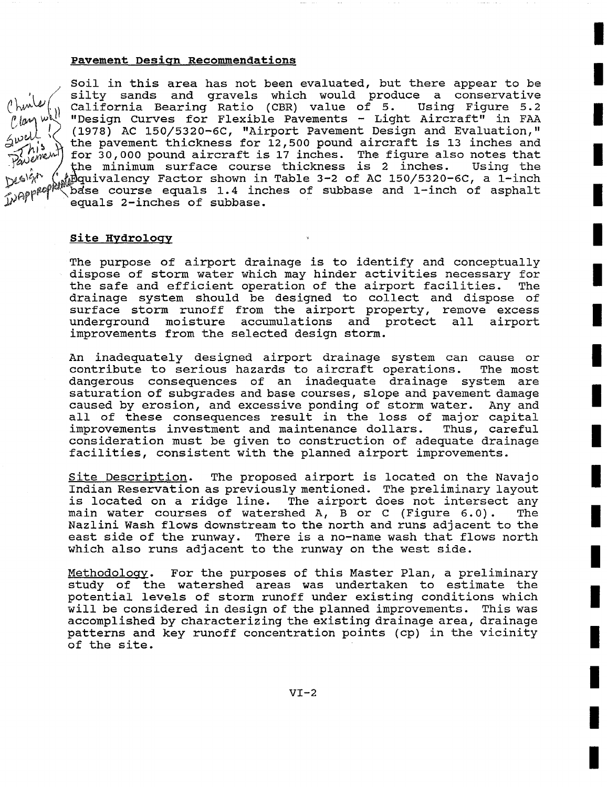## **Pavement Desiqn Recommendations**

Soil in this area has not been evaluated, but there appear to be silty sands and gravels which would produce a conservative<br>California Bearing Ratio (CBR) value of 5. Using Figure 5.2 California Bearing Ratio (CBR) value of 5. ~im~ ~ "Design Curves for Flexible Pavements - Light Aircraft" in FAA  $\left\{\diagup\right\}$  (1978) AC 150/5320-6C, "Airport Pavement Design and Evaluation,"  $\mathcal{W}_{\mathcal{M}}^{\mathcal{W}}$  the pavement thickness for 12,500 pound aircraft is 13 inches and for 30,000 pound aircraft is 17 inches. The figure also notes that the minimum surface course thickness is 2 inches. Using the with minimum burrace course unformed is a indice. Coing the  $\delta$ dse course equals 1.4 inches of subbase and 1-inch of asphalt equals 2-inches of subbase.

## **Site Hydrology**

The purpose of airport drainage is to identify and conceptually dispose of storm water which may hinder activities necessary for the safe and efficient operation of the airport facilities. The drainage system should be designed to collect and dispose of surface storm runoff from the airport property, remove excess underground moisture accumulations and protect all airport improvements from the selected design storm.

An inadequately designed airport drainage system can cause or contribute to serious hazards to aircraft operations. The most dangerous consequences of an inadequate drainage system are saturation of subgrades and base courses, slope and pavement damage caused by erosion, and excessive ponding of storm water. Any and all of these consequences result in the loss of major capital improvements investment and maintenance dollars. Thus, careful consideration must be given to construction of adequate drainage facilities, consistent with the planned airport improvements.

Site Description. The proposed airport is located on the Navajo Indian Reservation as previously mentioned. The preliminary layout is located on a ridge line. The airport does not intersect any main water courses of watershed A, B or C (Figure 6.0). The Nazlini Wash flows downstream to the north and runs adjacent to the east side of the runway. There is a no-name wash that flows north which also runs adjacent to the runway on the west side.

Methodoloqy. For the purposes of this Master Plan, a preliminary study of the watershed areas was undertaken to estimate the potential levels of storm runoff under existing conditions which will be considered in design of the planned improvements. This was accomplished by characterizing the existing drainage area, drainage patterns and key runoff concentration points (cp) in the vicinity of the site.

**I**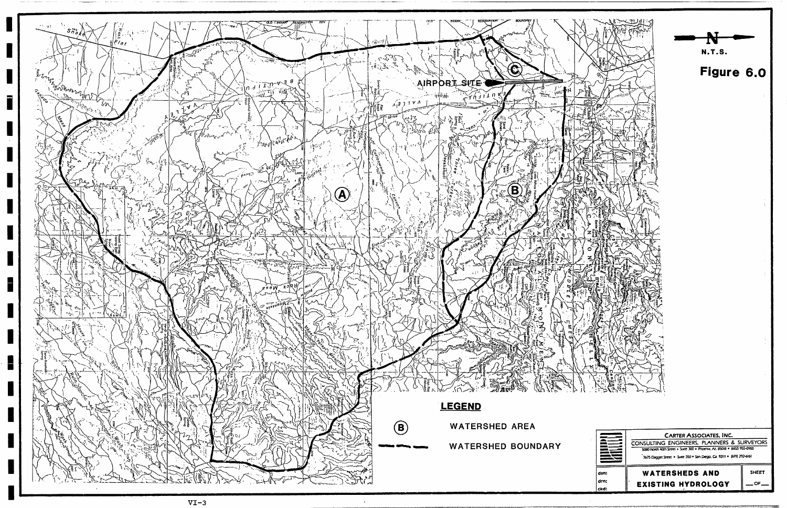

H

H

H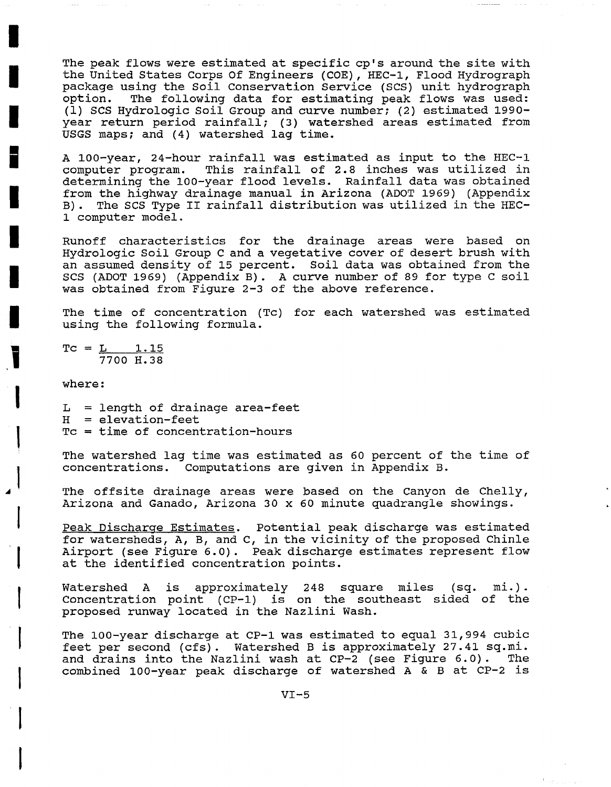The peak flows were estimated at specific cp's around the site with the United States Corps Of Engineers (COE), HEC-I, Flood Hydrograph package using the Soil Conservation Service (SCS) unit hydrograph option. The following data for estimating peak flows was used: (i) SCS Hydrologic Soil Group and curve number; (2) estimated 1990 year return period rainfall; (3) watershed areas estimated from USGS maps; and (4) watershed lag time.

A 100-year, 24-hour rainfall was estimated as input to the HEC-I computer program. This rainfall of 2.8 inches was utilized in determining the 100-year flood levels. Rainfall data was obtained from the highway drainage manual in Arizona (ADOT 1969) (Appendix B). The SCS Type II rainfall distribution was utilized in the HEC-1 computer model.

Runoff characteristics for the drainage areas were based on Hydrologic Soil Group C and a vegetative cover of desert brush with an assumed density of 15 percent. Soil data was obtained from the SCS (ADOT 1969) (Appendix B). A curve number of 89 for type C soil was obtained from Figure 2-3 of the above reference.

The time of concentration (Tc) for each watershed was estimated using the following formula.

 $TC = L$  1.15 7700 H.38

where:

**I** 

**I** 

**I** 

**II** 

**I** 

**I** 

**I** 

 $\mathbf{i}$ 

**|** 

**I** 

**1** 

**1** 

**I** 

**I** 

**t** 

**I** 

**I** 

**I** 

 $L = lenqth$  of drainage area-feet  $H =$  elevation-feet Tc = time of concentration-hours

The watershed lag time was estimated as 60 percent of the time of concentrations. Computations are given in Appendix B.

The offsite drainage areas were based on the Canyon de Chelly, Arizona and Ganado, Arizona 30 x 60 minute quadrangle showings.

Peak Discharge Estimates. Potential peak discharge was estimated for watersheds, A, B, and C, in the vicinity of the proposed Chinle Airport (see Figure 6.0). Peak discharge estimates represent flow at the identified concentration points.

Watershed A is approximately 248 square miles (sq. mi. ) . Concentration point (CP-I) is on the southeast sided of the proposed runway located in the Nazlini Wash.

The 100-year discharge at CP-I was estimated to equal 31,994 cubic feet per second (cfs). Watershed B is approximately 27.41 sq.mi. and drains into the Nazlini wash at CP-2 (see Figure 6.0). The combined 100-year peak discharge of watershed A & B at CP-2 is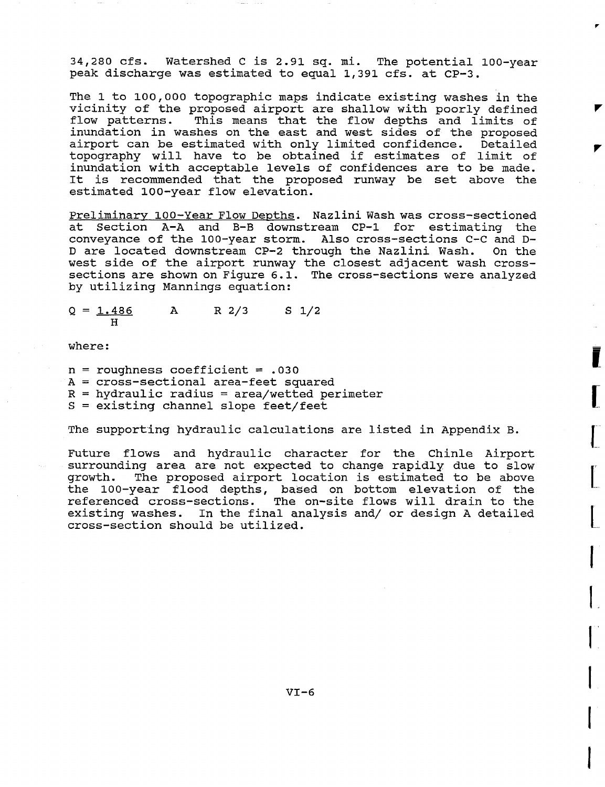34,280 cfs. Watershed C is 2.91 sq. mi. The potential 100-year peak discharge was estimated to equal 1,391 cfs. at CP-3.

The 1 to 100,000 topographic maps indicate existing washes in the vicinity of the proposed airport are shallow with poorly defined<br>flow patterns. This means that the flow depths and limits of This means that the flow depths and limits of inundation in washes on the east and west sides of the proposed airport can be estimated with only limited confidence. Detailed topography will have to be obtained if estimates of limit of inundation with acceptable levels of confidences are to be made. It is recommended that the proposed runway be set above the estimated lO0-year flow elevation.

Preliminary 100-Year Flow Depths. Nazlini Wash was cross-sectioned at Section A-A and B-B downstream CP-I for estimating the conveyance of the 100-year storm. Also cross-sections C-C and D-D are located downstream CP-2 through the Nazlini Wash. On the west side of the airport runway the closest adjacent wash crosssections are shown on Figure 6.1. The cross-sections were analyzed by utilizing Mannings equation:

 $Q = 1.486$  A R  $2/3$  S  $1/2$ **H** 

where:

- n = roughness coefficient = .030
- A = cross-sectional area-feet squared
- $R =$  hydraulic radius = area/wetted perimeter
- $S =$  existing channel slope feet/feet

The supporting hydraulic calculations are listed in Appendix B.

Future flows and hydraulic character for the Chinle Airport surrounding area are not expected to change rapidly due to slow growth. The proposed airport location is estimated to be above the 100-year flood depths, based on bottom elevation of the referenced cross-sections. The on-site flows will drain to the existing washes. In the final analysis and/ or design A detailed cross-section should be utilized.